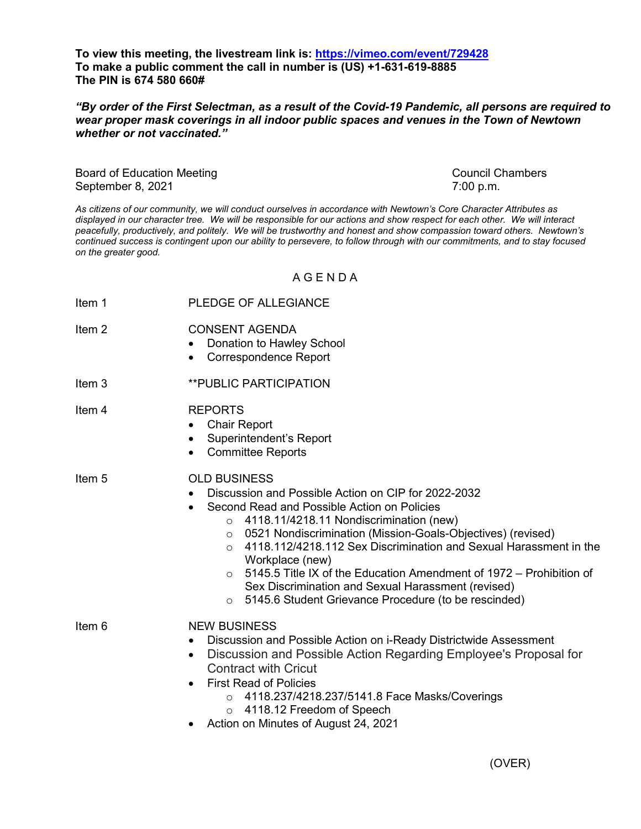**To view this meeting, the livestream link is:<https://vimeo.com/event/729428> To make a public comment the call in number is (US) +1-631-619-8885 The PIN is 674 580 660#** 

*"By order of the First Selectman, as a result of the Covid-19 Pandemic, all persons are required to wear proper mask coverings in all indoor public spaces and venues in the Town of Newtown whether or not vaccinated."*

Board of Education Meeting Council Chambers Council Chambers September 8, 2021 7:00 p.m.

*As citizens of our community, we will conduct ourselves in accordance with Newtown's Core Character Attributes as displayed in our character tree. We will be responsible for our actions and show respect for each other. We will interact peacefully, productively, and politely. We will be trustworthy and honest and show compassion toward others. Newtown's continued success is contingent upon our ability to persevere, to follow through with our commitments, and to stay focused on the greater good.*

A G E N D A

- Item 1 PLEDGE OF ALLEGIANCE
- Item 2 CONSENT AGENDA
	- Donation to Hawley School
		- Correspondence Report
- Item 3 **\*\*PUBLIC PARTICIPATION**
- Item 4 REPORTS
	- Chair Report
	- Superintendent's Report
	- Committee Reports
- Item 5 OLD BUSINESS
	- Discussion and Possible Action on CIP for 2022-2032
	- Second Read and Possible Action on Policies
		- $\circ$  4118.11/4218.11 Nondiscrimination (new)
		- o 0521 Nondiscrimination (Mission-Goals-Objectives) (revised)
		- o 4118.112/4218.112 Sex Discrimination and Sexual Harassment in the Workplace (new)
		- $\circ$  5145.5 Title IX of the Education Amendment of 1972 Prohibition of Sex Discrimination and Sexual Harassment (revised)
		- o 5145.6 Student Grievance Procedure (to be rescinded)
- Item 6 NEW BUSINESS
	- Discussion and Possible Action on i-Ready Districtwide Assessment
	- Discussion and Possible Action Regarding Employee's Proposal for Contract with Cricut
	- First Read of Policies
		- o 4118.237/4218.237/5141.8 Face Masks/Coverings
		- o 4118.12 Freedom of Speech
	- Action on Minutes of August 24, 2021